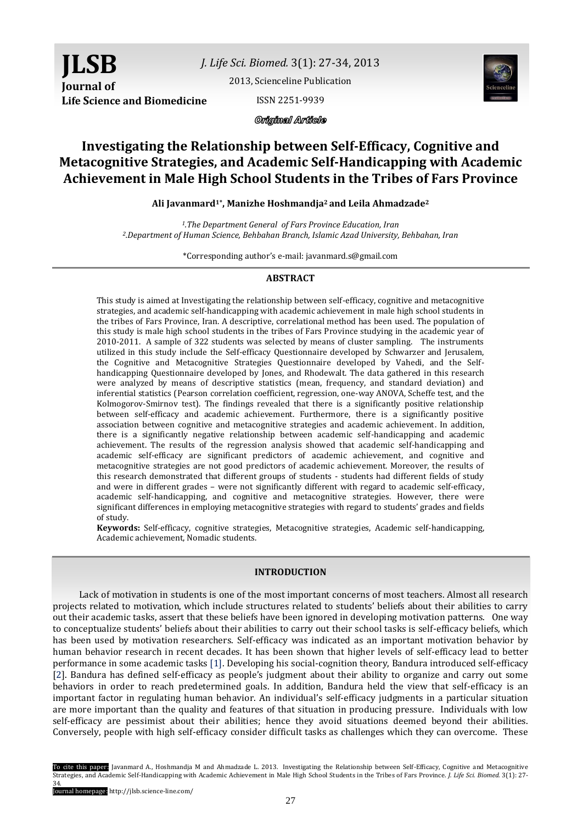*J. Life Sci. Biomed.* 3(1): 27-34, 2013

[2013, Scienceline Publication](http://www.science-line.com/index/)

ISSN 2251-9939



Original Article

# **Investigating the Relationship between Self-Efficacy, Cognitive and Metacognitive Strategies, and Academic Self-Handicapping with Academic Achievement in Male High School Students in the Tribes of Fars Province**

**Ali Javanmard1\* , Manizhe Hoshmandja2 and Leila Ahmadzade<sup>2</sup>**

*<sup>1</sup>.The Department General of Fars Province Education, Iran <sup>2</sup>.Department of Human Science, Behbahan Branch, Islamic Azad University, Behbahan, Iran*

\*Corresponding author's e-mail: javanmard.s@gmail.com

# **ABSTRACT**

This study is aimed at Investigating the relationship between self-efficacy, cognitive and metacognitive strategies, and academic self-handicapping with academic achievement in male high school students in the tribes of Fars Province, Iran. A descriptive, correlational method has been used. The population of this study is male high school students in the tribes of Fars Province studying in the academic year of 2010-2011. A sample of 322 students was selected by means of cluster sampling. The instruments utilized in this study include the Self-efficacy Questionnaire developed by Schwarzer and Jerusalem, the Cognitive and Metacognitive Strategies Questionnaire developed by Vahedi, and the Selfhandicapping Questionnaire developed by Jones, and Rhodewalt. The data gathered in this research were analyzed by means of descriptive statistics (mean, frequency, and standard deviation) and inferential statistics (Pearson correlation coefficient, regression, one-way ANOVA, Scheffe test, and the Kolmogorov-Smirnov test). The findings revealed that there is a significantly positive relationship between self-efficacy and academic achievement. Furthermore, there is a significantly positive association between cognitive and metacognitive strategies and academic achievement. In addition, there is a significantly negative relationship between academic self-handicapping and academic achievement. The results of the regression analysis showed that academic self-handicapping and academic self-efficacy are significant predictors of academic achievement, and cognitive and metacognitive strategies are not good predictors of academic achievement. Moreover, the results of this research demonstrated that different groups of students - students had different fields of study and were in different grades – were not significantly different with regard to academic self-efficacy, academic self-handicapping, and cognitive and metacognitive strategies. However, there were significant differences in employing metacognitive strategies with regard to students' grades and fields of study.

**Keywords:** Self-efficacy, cognitive strategies, Metacognitive strategies, Academic self-handicapping, Academic achievement, Nomadic students.

# **INTRODUCTION**

Lack of motivation in students is one of the most important concerns of most teachers. Almost all research projects related to motivation, which include structures related to students' beliefs about their abilities to carry out their academic tasks, assert that these beliefs have been ignored in developing motivation patterns. One way to conceptualize students' beliefs about their abilities to carry out their school tasks is self-efficacy beliefs, which has been used by motivation researchers. Self-efficacy was indicated as an important motivation behavior by human behavior research in recent decades. It has been shown that higher levels of self-efficacy lead to better performance in some academic tasks [\[1\].](#page-7-0) Developing his social-cognition theory, Bandura introduced self-efficacy [\[2\].](#page-7-0) Bandura has defined self-efficacy as people's judgment about their ability to organize and carry out some behaviors in order to reach predetermined goals. In addition, Bandura held the view that self-efficacy is an important factor in regulating human behavior. An individual's self-efficacy judgments in a particular situation are more important than the quality and features of that situation in producing pressure. Individuals with low self-efficacy are pessimist about their abilities; hence they avoid situations deemed beyond their abilities. Conversely, people with high self-efficacy consider difficult tasks as challenges which they can overcome. These

To cite this paper: Javanmard A., Hoshmandja M and Ahmadzade L. 2013. Investigating the Relationship between Self-Efficacy, Cognitive and Metacognitive Strategies, and Academic Self-Handicapping with Academic Achievement in Male High School Students in the Tribes of Fars Province. *J. Life Sci. Biomed.* 3(1): 27- 34.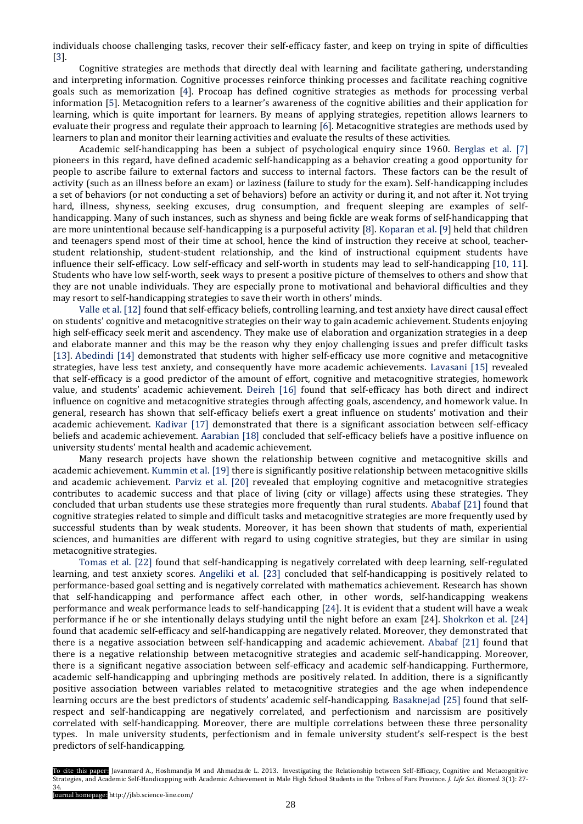individuals choose challenging tasks, recover their self-efficacy faster, and keep on trying in spite of difficulties [\[3\].](#page-7-0)

Cognitive strategies are methods that directly deal with learning and facilitate gathering, understanding and interpreting information. Cognitive processes reinforce thinking processes and facilitate reaching cognitive goals such as memorization [\[4\].](#page-7-0) Procoap has defined cognitive strategies as methods for processing verbal information [\[5\].](#page-7-0) Metacognition refers to a learner's awareness of the cognitive abilities and their application for learning, which is quite important for learners. By means of applying strategies, repetition allows learners to evaluate their progress and regulate their approach to learning [\[6\].](#page-7-0) Metacognitive strategies are methods used by learners to plan and monitor their learning activities and evaluate the results of these activities.

Academic self-handicapping has been a subject of psychological enquiry since 1960. [Berglas et al.](#page-7-0) [7] pioneers in this regard, have defined academic self-handicapping as a behavior creating a good opportunity for people to ascribe failure to external factors and success to internal factors. These factors can be the result of activity (such as an illness before an exam) or laziness (failure to study for the exam). Self-handicapping includes a set of behaviors (or not conducting a set of behaviors) before an activity or during it, and not after it. Not trying hard, illness, shyness, seeking excuses, drug consumption, and frequent sleeping are examples of selfhandicapping. Many of such instances, such as shyness and being fickle are weak forms of self-handicapping that are more unintentional because self-handicapping is a purposeful activity [8]. [Koparan](#page-7-0) et al. [9] held that children and teenagers spend most of their time at school, hence the kind of instruction they receive at school, teacherstudent relationship, student-student relationship, and the kind of instructional equipment students have influence their self-efficacy. Low self-efficacy and self-worth in students may lead to self-handicapping [\[10,](#page-7-0) 11]. Students who have low self-worth, seek ways to present a positive picture of themselves to others and show that they are not unable individuals. They are especially prone to motivational and behavioral difficulties and they may resort to self-handicapping strategies to save their worth in others' minds.

[Valle et al.](#page-7-0) [12] found that self-efficacy beliefs, controlling learning, and test anxiety have direct causal effect on students' cognitive and metacognitive strategies on their way to gain academic achievement. Students enjoying high self-efficacy seek merit and ascendency. They make use of elaboration and organization strategies in a deep and elaborate manner and this may be the reason why they enjoy challenging issues and prefer difficult tasks [13]. [Abedindi \[14\]](#page-7-0) demonstrated that students with higher self-efficacy use more cognitive and metacognitive strategies, have less test anxiety, and consequently have more academic achievements. [Lavasani](#page-7-0) [15] revealed that self-efficacy is a good predictor of the amount of effort, cognitive and metacognitive strategies, homework value, and students' academic achievement. [Deireh](#page-7-0) [16] found that self-efficacy has both direct and indirect influence on cognitive and metacognitive strategies through affecting goals, ascendency, and homework value. In general, research has shown that self-efficacy beliefs exert a great influence on students' motivation and their academic achievement. [Kadivar](#page-7-0) [17] demonstrated that there is a significant association between self-efficacy beliefs and academic achievement. [Aarabian](#page-7-0) [18] concluded that self-efficacy beliefs have a positive influence on university students' mental health and academic achievement.

Many research projects have shown the relationship between cognitive and metacognitive skills and academic achievement. [Kummin et al.](#page-7-0) [19] there is significantly positive relationship between metacognitive skills and academic achievement. [Parviz et al.](#page-7-0) [20] revealed that employing cognitive and metacognitive strategies contributes to academic success and that place of living (city or village) affects using these strategies. They concluded that urban students use these strategies more frequently than rural students. [Ababaf \[21\]](#page-7-0) found that cognitive strategies related to simple and difficult tasks and metacognitive strategies are more frequently used by successful students than by weak students. Moreover, it has been shown that students of math, experiential sciences, and humanities are different with regard to using cognitive strategies, but they are similar in using metacognitive strategies.

[Tomas et al.](#page-7-0) [22] found that self-handicapping is negatively correlated with deep learning, self-regulated learning, and test anxiety scores. [Angeliki et al.](#page-7-0) [23] concluded that self-handicapping is positively related to performance-based goal setting and is negatively correlated with mathematics achievement. Research has shown that self-handicapping and performance affect each other, in other words, self-handicapping weakens performance and weak performance leads to self-handicapping [\[24\].](#page-7-0) It is evident that a student will have a weak performance if he or she intentionally delays studying until the night before an exam [\[24\]. Shokrkon et al.](#page-7-0) [24] found that academic self-efficacy and self-handicapping are negatively related. Moreover, they demonstrated that there is a negative association between self-handicapping and academic achievement. [Ababaf \[21\]](#page-7-0) found that there is a negative relationship between metacognitive strategies and academic self-handicapping. Moreover, there is a significant negative association between self-efficacy and academic self-handicapping. Furthermore, academic self-handicapping and upbringing methods are positively related. In addition, there is a significantly positive association between variables related to metacognitive strategies and the age when independence learning occurs are the best predictors of students' academic self-handicapping. [Basaknejad \[25\]](#page-7-0) found that selfrespect and self-handicapping are negatively correlated, and perfectionism and narcissism are positively correlated with self-handicapping. Moreover, there are multiple correlations between these three personality types. In male university students, perfectionism and in female university student's self-respect is the best predictors of self-handicapping.

To cite this paper: Javanmard A., Hoshmandja M and Ahmadzade L. 2013. Investigating the Relationship between Self-Efficacy, Cognitive and Metacognitive Strategies, and Academic Self-Handicapping with Academic Achievement in Male High School Students in the Tribes of Fars Province. *J. Life Sci. Biomed.* 3(1): 27- 34.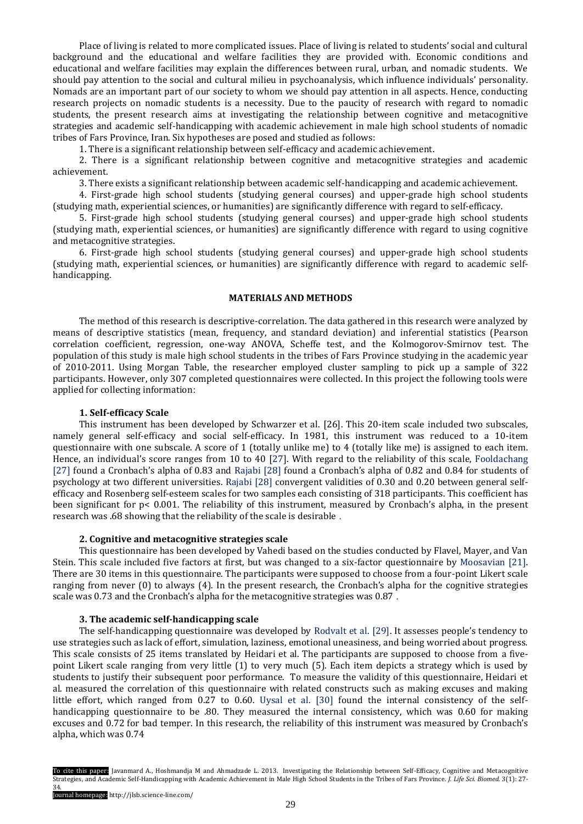Place of living is related to more complicated issues. Place of living is related to students' social and cultural background and the educational and welfare facilities they are provided with. Economic conditions and educational and welfare facilities may explain the differences between rural, urban, and nomadic students. We should pay attention to the social and cultural milieu in psychoanalysis, which influence individuals' personality. Nomads are an important part of our society to whom we should pay attention in all aspects. Hence, conducting research projects on nomadic students is a necessity. Due to the paucity of research with regard to nomadic students, the present research aims at investigating the relationship between cognitive and metacognitive strategies and academic self-handicapping with academic achievement in male high school students of nomadic tribes of Fars Province, Iran. Six hypotheses are posed and studied as follows:

1. There is a significant relationship between self-efficacy and academic achievement.

2. There is a significant relationship between cognitive and metacognitive strategies and academic achievement.

3. There exists a significant relationship between academic self-handicapping and academic achievement.

4. First-grade high school students (studying general courses) and upper-grade high school students (studying math, experiential sciences, or humanities) are significantly difference with regard to self-efficacy.

5. First-grade high school students (studying general courses) and upper-grade high school students (studying math, experiential sciences, or humanities) are significantly difference with regard to using cognitive and metacognitive strategies.

6. First-grade high school students (studying general courses) and upper-grade high school students (studying math, experiential sciences, or humanities) are significantly difference with regard to academic selfhandicapping.

### **MATERIALS AND METHODS**

The method of this research is descriptive-correlation. The data gathered in this research were analyzed by means of descriptive statistics (mean, frequency, and standard deviation) and inferential statistics (Pearson correlation coefficient, regression, one-way ANOVA, Scheffe test, and the Kolmogorov-Smirnov test. The population of this study is male high school students in the tribes of Fars Province studying in the academic year of 2010-2011. Using Morgan Table, the researcher employed cluster sampling to pick up a sample of 322 participants. However, only 307 completed questionnaires were collected. In this project the following tools were applied for collecting information:

# **1. Self-efficacy Scale**

This instrument has been developed by [Schwarzer et al.](#page-7-0) [26]. This 20-item scale included two subscales, namely general self-efficacy and social self-efficacy. In 1981, this instrument was reduced to a 10-item questionnaire with one subscale. A score of 1 (totally unlike me) to 4 (totally like me) is assigned to each item. Hence, an individual's score ranges from 10 to 40 [\[27\].](#page-7-0) With regard to the reliability of this scale, Fooldachang [\[27\]](#page-7-0) found a Cronbach's alpha of 0.83 and [Rajabi \[28\]](#page-7-0) found a Cronbach's alpha of 0.82 and 0.84 for students of psychology at two different universities. [Rajabi](#page-7-0) [28] convergent validities of 0.30 and 0.20 between general selfefficacy and Rosenberg self-esteem scales for two samples each consisting of 318 participants. This coefficient has been significant for p< 0.001. The reliability of this instrument, measured by Cronbach's alpha, in the present research was .68 showing that the reliability of the scale is desirable .

#### **2. Cognitive and metacognitive strategies scale**

This questionnaire has been developed by Vahedi based on the studies conducted by Flavel, Mayer, and Van Stein. This scale included five factors at first, but was changed to a six-factor questionnaire by [Moosavian](#page-7-0) [21]. There are 30 items in this questionnaire. The participants were supposed to choose from a four-point Likert scale ranging from never (0) to always (4). In the present research, the Cronbach's alpha for the cognitive strategies scale was 0.73 and the Cronbach's alpha for the metacognitive strategies was 0.87 .

#### **3. The academic self-handicapping scale**

The self-handicapping questionnaire was developed by [Rodvalt et al.](#page-7-0) [29]. It assesses people's tendency to use strategies such as lack of effort, simulation, laziness, emotional uneasiness, and being worried about progress. This scale consists of 25 items translated by Heidari et al. The participants are supposed to choose from a fivepoint Likert scale ranging from very little (1) to very much (5). Each item depicts a strategy which is used by students to justify their subsequent poor performance. To measure the validity of this questionnaire, Heidari et al. measured the correlation of this questionnaire with related constructs such as making excuses and making little effort, which ranged from 0.27 to 0.60. [Uysal et al.](#page-7-0) [30] found the internal consistency of the selfhandicapping questionnaire to be .80. They measured the internal consistency, which was 0.60 for making excuses and 0.72 for bad temper. In this research, the reliability of this instrument was measured by Cronbach's alpha, which was 0.74

To cite this paper: Javanmard A., Hoshmandja M and Ahmadzade L. 2013. Investigating the Relationship between Self-Efficacy, Cognitive and Metacognitive Strategies, and Academic Self-Handicapping with Academic Achievement in Male High School Students in the Tribes of Fars Province. *J. Life Sci. Biomed.* 3(1): 27- 34.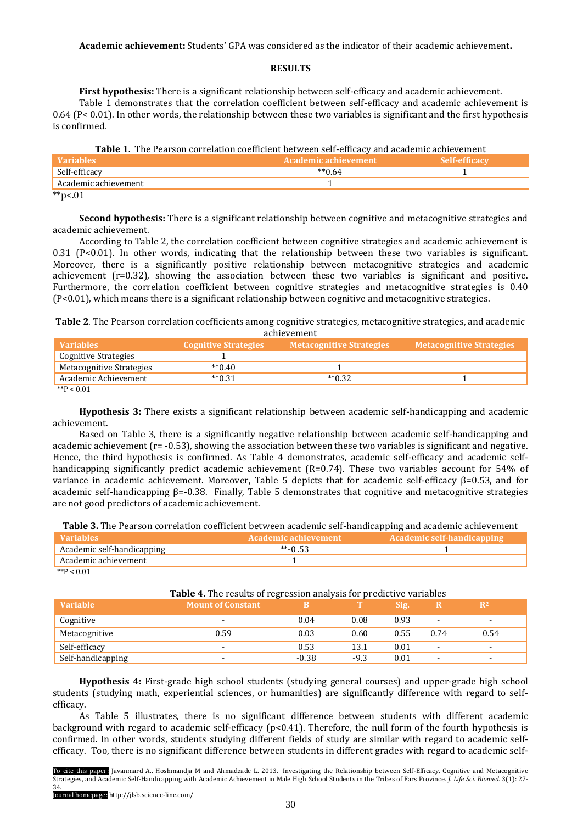**Academic achievement:** Students' GPA was considered as the indicator of their academic achievement**.**

#### **RESULTS**

**First hypothesis:** There is a significant relationship between self-efficacy and academic achievement.

Table 1 demonstrates that the correlation coefficient between self-efficacy and academic achievement is 0.64 (P< 0.01). In other words, the relationship between these two variables is significant and the first hypothesis is confirmed.

|  |  |  | Table 1. The Pearson correlation coefficient between self-efficacy and academic achievement |  |  |  |
|--|--|--|---------------------------------------------------------------------------------------------|--|--|--|
|--|--|--|---------------------------------------------------------------------------------------------|--|--|--|

| <b>Variables</b>                     | 'Academic achievement. |  |
|--------------------------------------|------------------------|--|
| Self-efficacy                        | $*$ *0.64              |  |
| Academic achievement                 |                        |  |
| and a substitution.<br>$\sim$ $\sim$ |                        |  |

\*\*p<.01

**Second hypothesis:** There is a significant relationship between cognitive and metacognitive strategies and academic achievement.

According to Table 2, the correlation coefficient between cognitive strategies and academic achievement is 0.31 (P<0.01). In other words, indicating that the relationship between these two variables is significant. Moreover, there is a significantly positive relationship between metacognitive strategies and academic achievement (r=0.32), showing the association between these two variables is significant and positive. Furthermore, the correlation coefficient between cognitive strategies and metacognitive strategies is 0.40 (P<0.01), which means there is a significant relationship between cognitive and metacognitive strategies.

**Table 2**. The Pearson correlation coefficients among cognitive strategies, metacognitive strategies, and academic achievement

| $\alpha$                 |                             |                                 |                                 |  |  |  |  |  |
|--------------------------|-----------------------------|---------------------------------|---------------------------------|--|--|--|--|--|
| <b>Variables</b>         | <b>Cognitive Strategies</b> | <b>Metacognitive Strategies</b> | <b>Metacognitive Strategies</b> |  |  |  |  |  |
| Cognitive Strategies     |                             |                                 |                                 |  |  |  |  |  |
| Metacognitive Strategies | $*$ $*$ 0.40                |                                 |                                 |  |  |  |  |  |
| Academic Achievement     | $*$ $*$ 0.31                | $*$ $*$ 0.32                    |                                 |  |  |  |  |  |
| $*$ $D > 0.01$           |                             |                                 |                                 |  |  |  |  |  |

 $*P < 0.01$ 

**Hypothesis 3:** There exists a significant relationship between academic self-handicapping and academic achievement.

Based on Table 3, there is a significantly negative relationship between academic self-handicapping and academic achievement (r= -0.53), showing the association between these two variables is significant and negative. Hence, the third hypothesis is confirmed. As Table 4 demonstrates, academic self-efficacy and academic selfhandicapping significantly predict academic achievement (R=0.74). These two variables account for 54% of variance in academic achievement. Moreover, Table 5 depicts that for academic self-efficacy β=0.53, and for academic self-handicapping β=-0.38. Finally, Table 5 demonstrates that cognitive and metacognitive strategies are not good predictors of academic achievement.

| Variables                  | Academic achievement | Academic self-handicapping |
|----------------------------|----------------------|----------------------------|
| Academic self-handicapping | **-0.53              |                            |
| Academic achievement       |                      |                            |

 $*$  $P < 0.01$ 

# **Table 4.** The results of regression analysis for predictive variables **Variable Mount of Constant B T** Sig. **R R**<sup>2</sup> Cognitive - 0.04 0.08 0.93 - - Metacognitive 0.59 0.03 0.60 0.55 0.74 0.54 Self-efficacy **0.53** 13.1 0.01 -  $\qquad \qquad$ Self-handicapping **-** -0.38 -9.3 0.01 - -

**Hypothesis 4:** First-grade high school students (studying general courses) and upper-grade high school students (studying math, experiential sciences, or humanities) are significantly difference with regard to selfefficacy.

As Table 5 illustrates, there is no significant difference between students with different academic background with regard to academic self-efficacy (p<0.41). Therefore, the null form of the fourth hypothesis is confirmed. In other words, students studying different fields of study are similar with regard to academic selfefficacy. Too, there is no significant difference between students in different grades with regard to academic self-

To cite this paper: Javanmard A., Hoshmandja M and Ahmadzade L. 2013. Investigating the Relationship between Self-Efficacy, Cognitive and Metacognitive Strategies, and Academic Self-Handicapping with Academic Achievement in Male High School Students in the Tribes of Fars Province. *J. Life Sci. Biomed.* 3(1): 27- 34.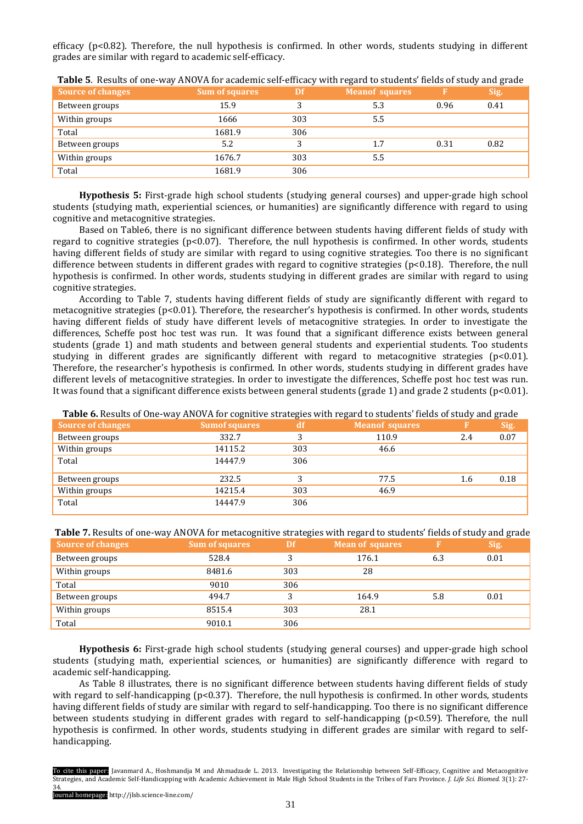efficacy (p<0.82). Therefore, the null hypothesis is confirmed. In other words, students studying in different grades are similar with regard to academic self-efficacy.

| <b>Source of changes</b> | <b>Sum of squares</b> | Df  | ີ<br><b>Meanof squares</b> |      | ີ<br>Sig. |
|--------------------------|-----------------------|-----|----------------------------|------|-----------|
| Between groups           | 15.9                  |     | 5.3                        | 0.96 | 0.41      |
| Within groups            | 1666                  | 303 | 5.5                        |      |           |
| Total                    | 1681.9                | 306 |                            |      |           |
| Between groups           | 5.2                   | 3   | 1.7                        | 0.31 | 0.82      |
| Within groups            | 1676.7                | 303 | 5.5                        |      |           |
| Total                    | 1681.9                | 306 |                            |      |           |

**Table 5**. Results of one-way ANOVA for academic self-efficacy with regard to students' fields of study and grade

**Hypothesis 5:** First-grade high school students (studying general courses) and upper-grade high school students (studying math, experiential sciences, or humanities) are significantly difference with regard to using cognitive and metacognitive strategies.

Based on Table6, there is no significant difference between students having different fields of study with regard to cognitive strategies ( $p<0.07$ ). Therefore, the null hypothesis is confirmed. In other words, students having different fields of study are similar with regard to using cognitive strategies. Too there is no significant difference between students in different grades with regard to cognitive strategies (p<0.18). Therefore, the null hypothesis is confirmed. In other words, students studying in different grades are similar with regard to using cognitive strategies.

According to Table 7, students having different fields of study are significantly different with regard to metacognitive strategies (p<0.01). Therefore, the researcher's hypothesis is confirmed. In other words, students having different fields of study have different levels of metacognitive strategies. In order to investigate the differences, Scheffe post hoc test was run. It was found that a significant difference exists between general students (grade 1) and math students and between general students and experiential students. Too students studying in different grades are significantly different with regard to metacognitive strategies  $(p<0.01)$ . Therefore, the researcher's hypothesis is confirmed. In other words, students studying in different grades have different levels of metacognitive strategies. In order to investigate the differences, Scheffe post hoc test was run. It was found that a significant difference exists between general students (grade 1) and grade 2 students (p<0.01).

| <b>Source of changes</b> | <b>Sumof squares</b> | df  | <b>Meanof squares</b> |     | Sig. |
|--------------------------|----------------------|-----|-----------------------|-----|------|
| Between groups           | 332.7                |     | 110.9                 | 2.4 | 0.07 |
| Within groups            | 14115.2              | 303 | 46.6                  |     |      |
| Total                    | 14447.9              | 306 |                       |     |      |
| Between groups           | 232.5                |     | 77.5                  | 1.6 | 0.18 |
| Within groups            | 14215.4              | 303 | 46.9                  |     |      |
| Total                    | 14447.9              | 306 |                       |     |      |

**Table 6.** Results of One-way ANOVA for cognitive strategies with regard to students' fields of study and grade

**Table 7.** Results of one-way ANOVA for metacognitive strategies with regard to students' fields of study and grade

| Source of changes | <b>Sum of squares</b> | Df  | <b>Mean of squares</b> |     | Sig. |
|-------------------|-----------------------|-----|------------------------|-----|------|
| Between groups    | 528.4                 |     | 176.1                  | 6.3 | 0.01 |
| Within groups     | 8481.6                | 303 | 28                     |     |      |
| Total             | 9010                  | 306 |                        |     |      |
| Between groups    | 494.7                 |     | 164.9                  | 5.8 | 0.01 |
| Within groups     | 8515.4                | 303 | 28.1                   |     |      |
| Total             | 9010.1                | 306 |                        |     |      |

**Hypothesis 6:** First-grade high school students (studying general courses) and upper-grade high school students (studying math, experiential sciences, or humanities) are significantly difference with regard to academic self-handicapping.

As Table 8 illustrates, there is no significant difference between students having different fields of study with regard to self-handicapping ( $p<0.37$ ). Therefore, the null hypothesis is confirmed. In other words, students having different fields of study are similar with regard to self-handicapping. Too there is no significant difference between students studying in different grades with regard to self-handicapping (p<0.59). Therefore, the null hypothesis is confirmed. In other words, students studying in different grades are similar with regard to selfhandicapping.

To cite this paper: Javanmard A., Hoshmandja M and Ahmadzade L. 2013. Investigating the Relationship between Self-Efficacy, Cognitive and Metacognitive Strategies, and Academic Self-Handicapping with Academic Achievement in Male High School Students in the Tribes of Fars Province. *J. Life Sci. Biomed.* 3(1): 27- 34.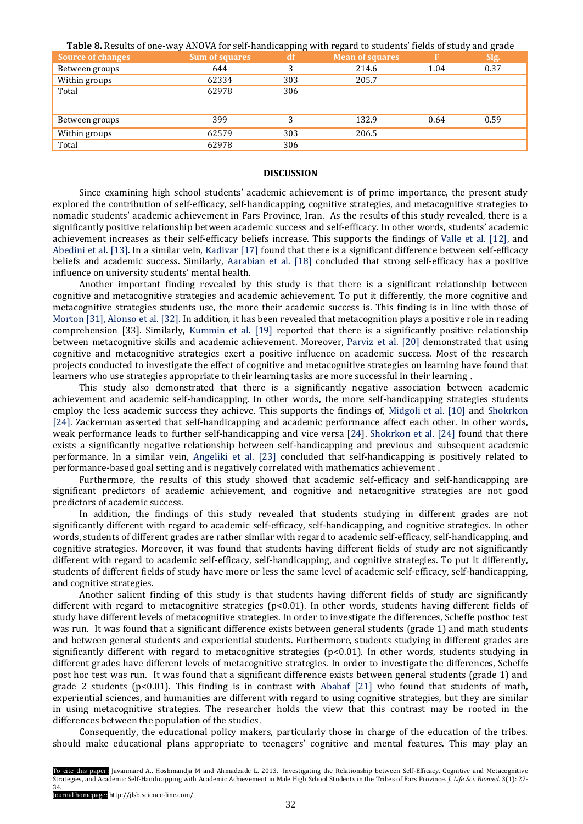**Table 8.** Results of one-way ANOVA for self-handicapping with regard to students' fields of study and grade

| <b>Source of changes</b> | <b>Sum of squares</b> | df  | Mean of squares |      | Sig. |
|--------------------------|-----------------------|-----|-----------------|------|------|
| Between groups           | 644                   | 3   | 214.6           | 1.04 | 0.37 |
| Within groups            | 62334                 | 303 | 205.7           |      |      |
| Total                    | 62978                 | 306 |                 |      |      |
|                          |                       |     |                 |      |      |
| Between groups           | 399                   | 3   | 132.9           | 0.64 | 0.59 |
| Within groups            | 62579                 | 303 | 206.5           |      |      |
| Total                    | 62978                 | 306 |                 |      |      |

#### **DISCUSSION**

Since examining high school students' academic achievement is of prime importance, the present study explored the contribution of self-efficacy, self-handicapping, cognitive strategies, and metacognitive strategies to nomadic students' academic achievement in Fars Province, Iran. As the results of this study revealed, there is a significantly positive relationship between academic success and self-efficacy. In other words, students' academic achievement increases as their self-efficacy beliefs increase. This supports the findings of [Valle et al.](#page-7-0) [12], and [Abedini](#page-7-0) et al. [13]. In a similar vein, [Kadivar \[17\]](#page-7-0) found that there is a significant difference between self-efficacy beliefs and academic success. Similarly, [Aarabian et al.](#page-7-0) [18] concluded that strong self-efficacy has a positive influence on university students' mental health.

Another important finding revealed by this study is that there is a significant relationship between cognitive and metacognitive strategies and academic achievement. To put it differently, the more cognitive and metacognitive strategies students use, the more their academic success is. This finding is in line with those of Morton [31], [Alonso et al.](#page-7-0) [32]. In addition, it has been revealed that metacognition plays a positive role in reading comprehension [33]. Similarly, [Kummin et al.](#page-7-0) [19] reported that there is a significantly positive relationship between metacognitive skills and academic achievement. Moreover, [Parviz et al.](#page-7-0) [20] demonstrated that using cognitive and metacognitive strategies exert a positive influence on academic success. Most of the research projects conducted to investigate the effect of cognitive and metacognitive strategies on learning have found that learners who use strategies appropriate to their learning tasks are more successful in their learning .

This study also demonstrated that there is a significantly negative association between academic achievement and academic self-handicapping. In other words, the more self-handicapping strategies students employ the less academic success they achieve. This supports the findings of, Midgoli et al. [\[10\] and Shokrkon](#page-7-0) [24]. Zackerman asserted that self-handicapping and academic performance affect each other. In other words, weak performance leads to further self-handicapping and vice versa [24]. [Shokrkon et al. \[24\]](#page-7-0) found that there exists a significantly negative relationship between self-handicapping and previous and subsequent academic performance. In a similar vein, [Angeliki et al.](#page-7-0) [23] concluded that self-handicapping is positively related to performance-based goal setting and is negatively correlated with mathematics achievement .

Furthermore, the results of this study showed that academic self-efficacy and self-handicapping are significant predictors of academic achievement, and cognitive and netacognitive strategies are not good predictors of academic success.

In addition, the findings of this study revealed that students studying in different grades are not significantly different with regard to academic self-efficacy, self-handicapping, and cognitive strategies. In other words, students of different grades are rather similar with regard to academic self-efficacy, self-handicapping, and cognitive strategies. Moreover, it was found that students having different fields of study are not significantly different with regard to academic self-efficacy, self-handicapping, and cognitive strategies. To put it differently, students of different fields of study have more or less the same level of academic self-efficacy, self-handicapping, and cognitive strategies.

Another salient finding of this study is that students having different fields of study are significantly different with regard to metacognitive strategies (p<0.01). In other words, students having different fields of study have different levels of metacognitive strategies. In order to investigate the differences, Scheffe posthoc test was run. It was found that a significant difference exists between general students (grade 1) and math students and between general students and experiential students. Furthermore, students studying in different grades are significantly different with regard to metacognitive strategies  $(p<0.01)$ . In other words, students studying in different grades have different levels of metacognitive strategies. In order to investigate the differences, Scheffe post hoc test was run. It was found that a significant difference exists between general students (grade 1) and grade 2 students ( $p<0.01$ ). This finding is in contrast with [Ababaf](#page-7-0) [21] who found that students of math, experiential sciences, and humanities are different with regard to using cognitive strategies, but they are similar in using metacognitive strategies. The researcher holds the view that this contrast may be rooted in the differences between the population of the studies.

Consequently, the educational policy makers, particularly those in charge of the education of the tribes. should make educational plans appropriate to teenagers' cognitive and mental features. This may play an

To cite this paper: Javanmard A., Hoshmandja M and Ahmadzade L. 2013. Investigating the Relationship between Self-Efficacy, Cognitive and Metacognitive Strategies, and Academic Self-Handicapping with Academic Achievement in Male High School Students in the Tribes of Fars Province. *J. Life Sci. Biomed.* 3(1): 27- 34.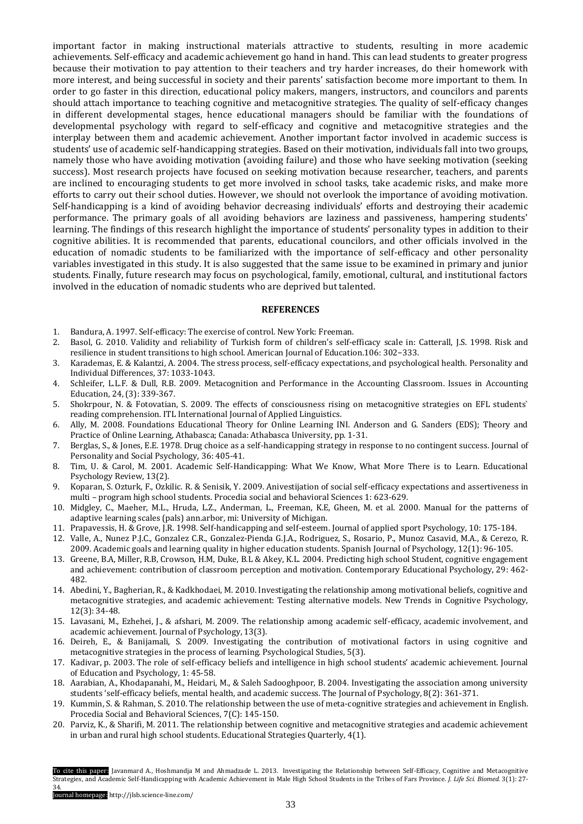important factor in making instructional materials attractive to students, resulting in more academic achievements. Self-efficacy and academic achievement go hand in hand. This can lead students to greater progress because their motivation to pay attention to their teachers and try harder increases, do their homework with more interest, and being successful in society and their parents' satisfaction become more important to them. In order to go faster in this direction, educational policy makers, mangers, instructors, and councilors and parents should attach importance to teaching cognitive and metacognitive strategies. The quality of self-efficacy changes in different developmental stages, hence educational managers should be familiar with the foundations of developmental psychology with regard to self-efficacy and cognitive and metacognitive strategies and the interplay between them and academic achievement. Another important factor involved in academic success is students' use of academic self-handicapping strategies. Based on their motivation, individuals fall into two groups, namely those who have avoiding motivation (avoiding failure) and those who have seeking motivation (seeking success). Most research projects have focused on seeking motivation because researcher, teachers, and parents are inclined to encouraging students to get more involved in school tasks, take academic risks, and make more efforts to carry out their school duties. However, we should not overlook the importance of avoiding motivation. Self-handicapping is a kind of avoiding behavior decreasing individuals' efforts and destroying their academic performance. The primary goals of all avoiding behaviors are laziness and passiveness, hampering students' learning. The findings of this research highlight the importance of students' personality types in addition to their cognitive abilities. It is recommended that parents, educational councilors, and other officials involved in the education of nomadic students to be familiarized with the importance of self-efficacy and other personality variables investigated in this study. It is also suggested that the same issue to be examined in primary and junior students. Finally, future research may focus on psychological, family, emotional, cultural, and institutional factors involved in the education of nomadic students who are deprived but talented.

#### **REFERENCES**

- 1. Bandura, A. 1997. Self-efficacy: The exercise of control. New York: Freeman.
- 2. Basol, G. 2010. Validity and reliability of Turkish form of children's self-efficacy scale in: Catterall, J.S. 1998. Risk and resilience in student transitions to high school. American Journal of Education.106: 302−333.
- 3. Karademas, E. & Kalantzi, A. 2004. The stress process, self-efficacy expectations, and psychological health. Personality and Individual Differences, 37: 1033-1043.
- 4. Schleifer, L.L.F. & Dull, R.B. 2009. Metacognition and Performance in the Accounting Classroom. Issues in Accounting Education, 24, (3): 339-367.
- 5. Shokrpour, N. & Fotovatian, S. 2009. The effects of consciousness rising on metacognitive strategies on EFL students` reading comprehension. ITL International Journal of Applied Linguistics.
- 6. Ally, M. 2008. Foundations Educational Theory for Online Learning INI. Anderson and G. Sanders (EDS); Theory and Practice of Online Learning, Athabasca; Canada: Athabasca University, pp. 1-31.
- 7. Berglas, S., & Jones, E.E. 1978. Drug choice as a self-handicapping strategy in response to no contingent success. Journal of Personality and Social Psychology, 36: 405-41.
- 8. Tim, U. & Carol, M. 2001. Academic Self-Handicapping: What We Know, What More There is to Learn. Educational Psychology Review, 13(2).
- 9. Koparan, S. Ozturk, F., Ozkilic. R. & Senisik, Y. 2009. Anivestijation of social self-efficacy expectations and assertiveness in multi – program high school students. Procedia social and behavioral Sciences 1: 623-629.
- 10. Midgley, C., Maeher, M.L., Hruda, L.Z., Anderman, L., Freeman, K.E, Gheen, M. et al. 2000. Manual for the patterns of adaptive learning scales (pals) ann.arbor, mi: University of Michigan.
- 11. Prapavessis, H. & Grove, J.R. 1998. Self-handicapping and self-esteem. Journal of applied sport Psychology, 10: 175-184.
- 12. Valle, A., Nunez P.J.C., Gonzalez C.R., Gonzalez-Pienda G.J.A., Rodriguez, S., Rosario, P., Munoz Casavid, M.A., & Cerezo, R. 2009. Academic goals and learning quality in higher education students. Spanish Journal of Psychology, 12(1): 96-105.
- 13. Greene, B.A, Miller, R.B, Crowson, H.M, Duke, B.L & Akey, K.L. 2004. Predicting high school Student, cognitive engagement and achievement: contribution of classroom perception and motivation. Contemporary Educational Psychology, 29: 462- 482.
- 14. Abedini, Y., Bagherian, R., & Kadkhodaei, M. 2010. Investigating the relationship among motivational beliefs, cognitive and metacognitive strategies, and academic achievement: Testing alternative models. New Trends in Cognitive Psychology, 12(3): 34-48.
- 15. Lavasani, M., Ezhehei, J., & afshari, M. 2009. The relationship among academic self-efficacy, academic involvement, and academic achievement. Journal of Psychology, 13(3).
- 16. Deireh, E., & Banijamali, S. 2009. Investigating the contribution of motivational factors in using cognitive and metacognitive strategies in the process of learning. Psychological Studies, 5(3).
- 17. Kadivar, p. 2003. The role of self-efficacy beliefs and intelligence in high school students' academic achievement. Journal of Education and Psychology, 1: 45-58.
- 18. Aarabian, A., Khodapanahi, M., Heidari, M., & Saleh Sadooghpoor, B. 2004. Investigating the association among university students 'self-efficacy beliefs, mental health, and academic success. The Journal of Psychology, 8(2): 361-371.
- 19. Kummin, S. & Rahman, S. 2010. The relationship between the use of meta-cognitive strategies and achievement in English. Procedia Social and Behavioral Sciences, 7(C): 145-150.
- 20. Parviz, K., & Sharifi, M. 2011. The relationship between cognitive and metacognitive strategies and academic achievement in urban and rural high school students. Educational Strategies Quarterly, 4(1).

To cite this paper: Javanmard A., Hoshmandja M and Ahmadzade L. 2013. Investigating the Relationship between Self-Efficacy, Cognitive and Metacognitive Strategies, and Academic Self-Handicapping with Academic Achievement in Male High School Students in the Tribes of Fars Province. *J. Life Sci. Biomed.* 3(1): 27- 34.